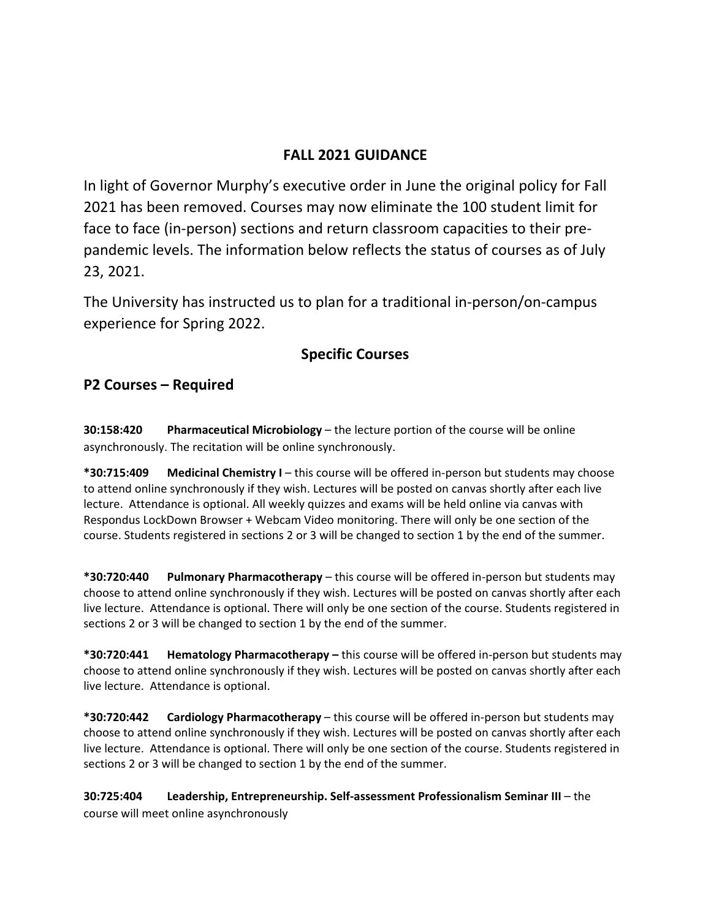## **FALL 2021 GUIDANCE**

In light of Governor Murphy's executive order in June the original policy for Fall 2021 has been removed. Courses may now eliminate the 100 student limit for face to face (in‐person) sections and return classroom capacities to their pre‐ pandemic levels. The information below reflects the status of courses as of July 23, 2021.

The University has instructed us to plan for a traditional in‐person/on‐campus experience for Spring 2022.

### **Specific Courses**

### **P2 Courses – Required**

**30:158:420 Pharmaceutical Microbiology** – the lecture portion of the course will be online asynchronously. The recitation will be online synchronously.

**\*30:715:409 Medicinal Chemistry I** – this course will be offered in‐person but students may choose to attend online synchronously if they wish. Lectures will be posted on canvas shortly after each live lecture. Attendance is optional. All weekly quizzes and exams will be held online via canvas with Respondus LockDown Browser + Webcam Video monitoring. There will only be one section of the course. Students registered in sections 2 or 3 will be changed to section 1 by the end of the summer.

**\*30:720:440 Pulmonary Pharmacotherapy** – this course will be offered in‐person but students may choose to attend online synchronously if they wish. Lectures will be posted on canvas shortly after each live lecture. Attendance is optional. There will only be one section of the course. Students registered in sections 2 or 3 will be changed to section 1 by the end of the summer.

**\*30:720:441 Hematology Pharmacotherapy –** this course will be offered in‐person but students may choose to attend online synchronously if they wish. Lectures will be posted on canvas shortly after each live lecture. Attendance is optional.

**\*30:720:442 Cardiology Pharmacotherapy** – this course will be offered in‐person but students may choose to attend online synchronously if they wish. Lectures will be posted on canvas shortly after each live lecture. Attendance is optional. There will only be one section of the course. Students registered in sections 2 or 3 will be changed to section 1 by the end of the summer.

**30:725:404 Leadership, Entrepreneurship. Self‐assessment Professionalism Seminar III** – the course will meet online asynchronously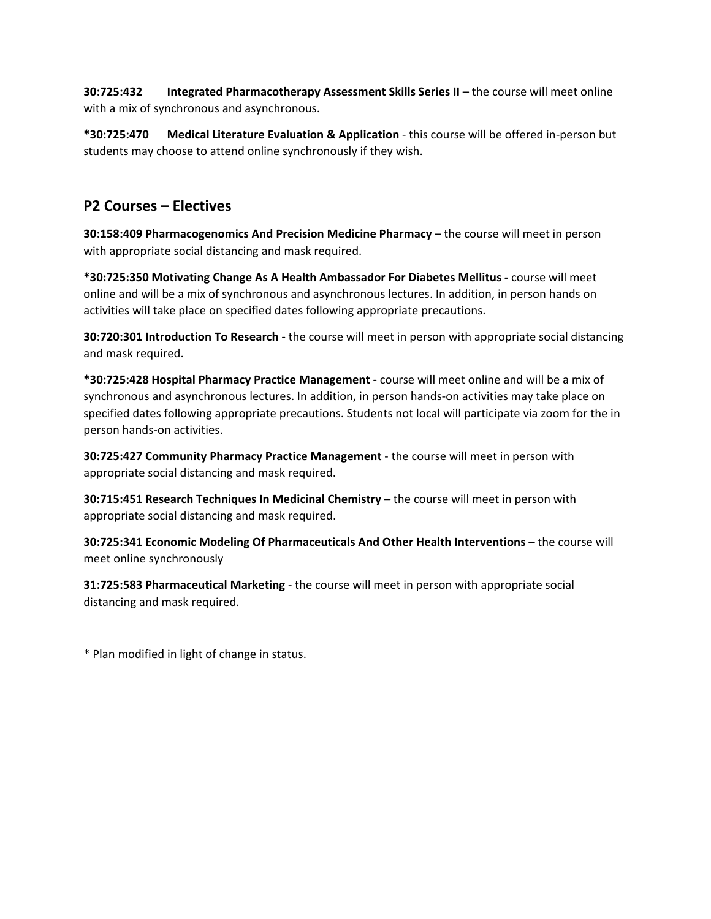**30:725:432 Integrated Pharmacotherapy Assessment Skills Series II** – the course will meet online with a mix of synchronous and asynchronous.

**\*30:725:470 Medical Literature Evaluation & Application** ‐ this course will be offered in‐person but students may choose to attend online synchronously if they wish.

#### **P2 Courses – Electives**

**30:158:409 Pharmacogenomics And Precision Medicine Pharmacy** – the course will meet in person with appropriate social distancing and mask required.

**\*30:725:350 Motivating Change As A Health Ambassador For Diabetes Mellitus ‐** course will meet online and will be a mix of synchronous and asynchronous lectures. In addition, in person hands on activities will take place on specified dates following appropriate precautions.

**30:720:301 Introduction To Research ‐** the course will meet in person with appropriate social distancing and mask required.

**\*30:725:428 Hospital Pharmacy Practice Management ‐** course will meet online and will be a mix of synchronous and asynchronous lectures. In addition, in person hands-on activities may take place on specified dates following appropriate precautions. Students not local will participate via zoom for the in person hands‐on activities.

**30:725:427 Community Pharmacy Practice Management** ‐ the course will meet in person with appropriate social distancing and mask required.

**30:715:451 Research Techniques In Medicinal Chemistry –** the course will meet in person with appropriate social distancing and mask required.

**30:725:341 Economic Modeling Of Pharmaceuticals And Other Health Interventions** – the course will meet online synchronously

**31:725:583 Pharmaceutical Marketing** ‐ the course will meet in person with appropriate social distancing and mask required.

\* Plan modified in light of change in status.